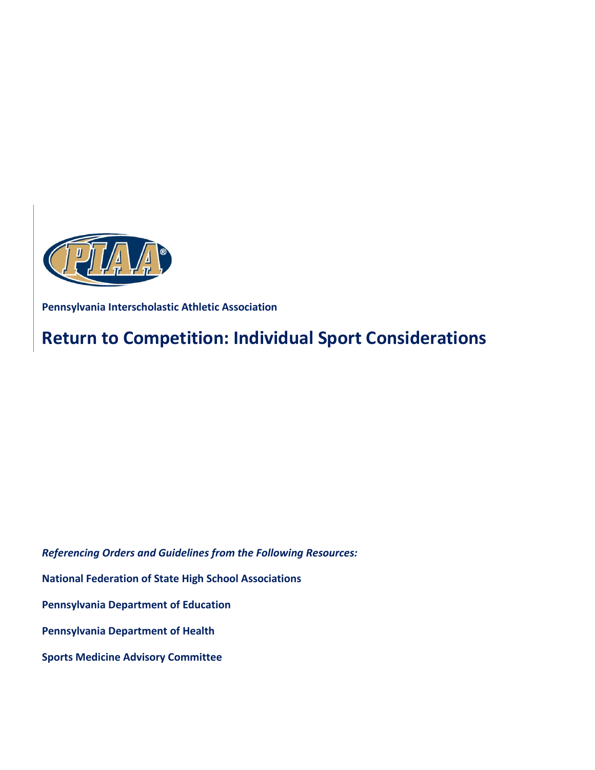

**Pennsylvania Interscholastic Athletic Association** 

# **Return to Competition: Individual Sport Considerations**

*Referencing Orders and Guidelines from the Following Resources:*

**National Federation of State High School Associations**

**Pennsylvania Department of Education**

**Pennsylvania Department of Health**

**Sports Medicine Advisory Committee**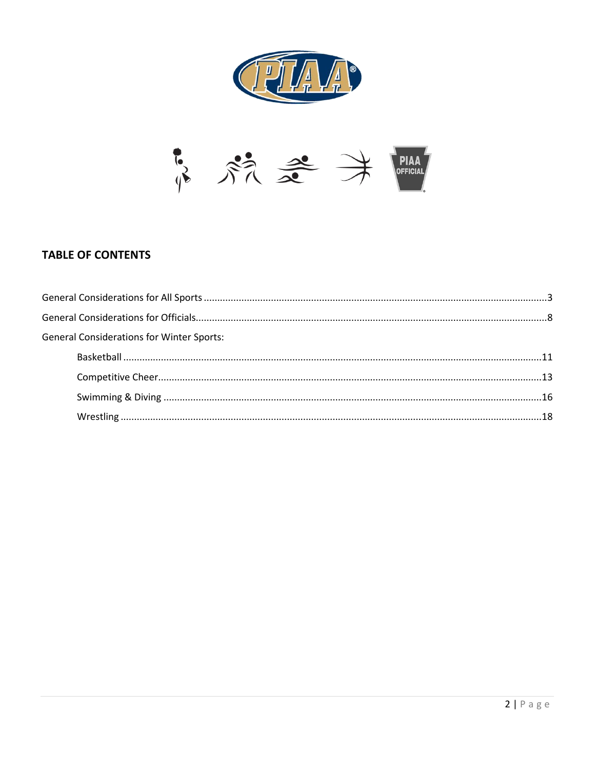



# **TABLE OF CONTENTS**

| <b>General Considerations for Winter Sports:</b> |  |
|--------------------------------------------------|--|
|                                                  |  |
|                                                  |  |
|                                                  |  |
|                                                  |  |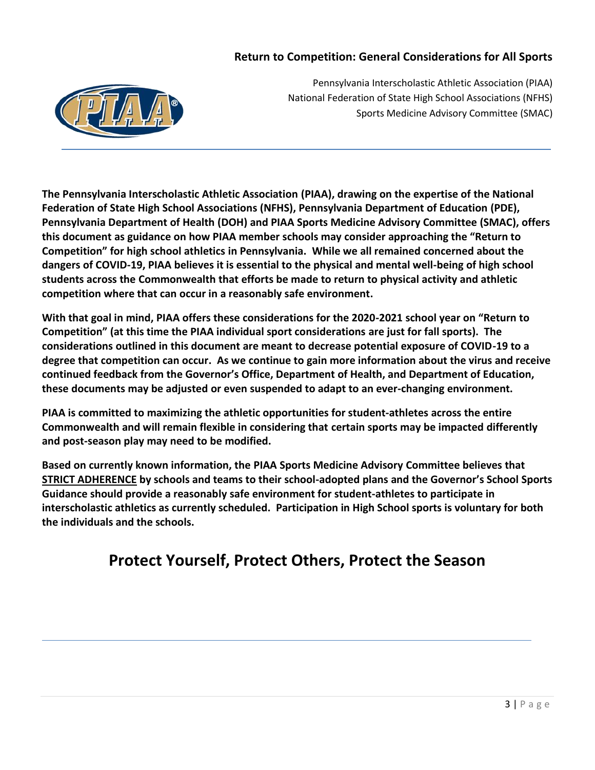# **Return to Competition: General Considerations for All Sports**



Pennsylvania Interscholastic Athletic Association (PIAA) National Federation of State High School Associations (NFHS) Sports Medicine Advisory Committee (SMAC)

**The Pennsylvania Interscholastic Athletic Association (PIAA), drawing on the expertise of the National Federation of State High School Associations (NFHS), Pennsylvania Department of Education (PDE), Pennsylvania Department of Health (DOH) and PIAA Sports Medicine Advisory Committee (SMAC), offers this document as guidance on how PIAA member schools may consider approaching the "Return to Competition" for high school athletics in Pennsylvania. While we all remained concerned about the dangers of COVID-19, PIAA believes it is essential to the physical and mental well-being of high school students across the Commonwealth that efforts be made to return to physical activity and athletic competition where that can occur in a reasonably safe environment.** 

**With that goal in mind, PIAA offers these considerations for the 2020-2021 school year on "Return to Competition" (at this time the PIAA individual sport considerations are just for fall sports). The considerations outlined in this document are meant to decrease potential exposure of COVID-19 to a degree that competition can occur. As we continue to gain more information about the virus and receive continued feedback from the Governor's Office, Department of Health, and Department of Education, these documents may be adjusted or even suspended to adapt to an ever-changing environment.** 

**PIAA is committed to maximizing the athletic opportunities for student-athletes across the entire Commonwealth and will remain flexible in considering that certain sports may be impacted differently and post-season play may need to be modified.** 

**Based on currently known information, the PIAA Sports Medicine Advisory Committee believes that STRICT ADHERENCE by schools and teams to their school-adopted plans and the Governor's School Sports Guidance should provide a reasonably safe environment for student-athletes to participate in interscholastic athletics as currently scheduled. Participation in High School sports is voluntary for both the individuals and the schools.**

# **Protect Yourself, Protect Others, Protect the Season**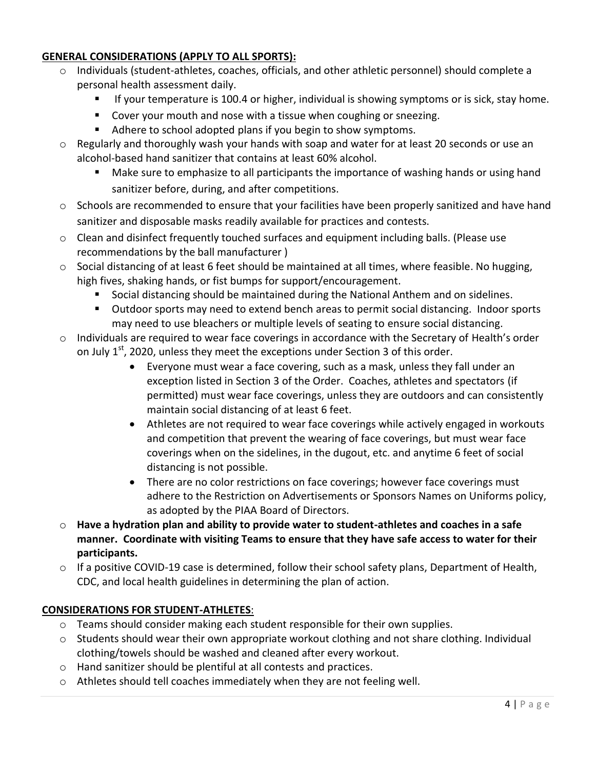# **GENERAL CONSIDERATIONS (APPLY TO ALL SPORTS):**

- o Individuals (student-athletes, coaches, officials, and other athletic personnel) should complete a personal health assessment daily.
	- If your temperature is 100.4 or higher, individual is showing symptoms or is sick, stay home.
	- **Cover your mouth and nose with a tissue when coughing or sneezing.**
	- Adhere to school adopted plans if you begin to show symptoms.
- o Regularly and thoroughly wash your hands with soap and water for at least 20 seconds or use an alcohol-based hand sanitizer that contains at least 60% alcohol.
	- Make sure to emphasize to all participants the importance of washing hands or using hand sanitizer before, during, and after competitions.
- o Schools are recommended to ensure that your facilities have been properly sanitized and have hand sanitizer and disposable masks readily available for practices and contests.
- $\circ$  Clean and disinfect frequently touched surfaces and equipment including balls. (Please use recommendations by the ball manufacturer )
- $\circ$  Social distancing of at least 6 feet should be maintained at all times, where feasible. No hugging, high fives, shaking hands, or fist bumps for support/encouragement.
	- Social distancing should be maintained during the National Anthem and on sidelines.
	- Outdoor sports may need to extend bench areas to permit social distancing. Indoor sports may need to use bleachers or multiple levels of seating to ensure social distancing.
- $\circ$  Individuals are required to wear face coverings in accordance with the Secretary of Health's order on July  $1<sup>st</sup>$ , 2020, unless they meet the exceptions under Section 3 of this order.
	- Everyone must wear a face covering, such as a mask, unless they fall under an exception listed in Section 3 of the Order. Coaches, athletes and spectators (if permitted) must wear face coverings, unless they are outdoors and can consistently maintain social distancing of at least 6 feet.
	- Athletes are not required to wear face coverings while actively engaged in workouts and competition that prevent the wearing of face coverings, but must wear face coverings when on the sidelines, in the dugout, etc. and anytime 6 feet of social distancing is not possible.
	- There are no color restrictions on face coverings; however face coverings must adhere to the Restriction on Advertisements or Sponsors Names on Uniforms policy, as adopted by the PIAA Board of Directors.
- o **Have a hydration plan and ability to provide water to student-athletes and coaches in a safe manner. Coordinate with visiting Teams to ensure that they have safe access to water for their participants.**
- $\circ$  If a positive COVID-19 case is determined, follow their school safety plans, Department of Health, CDC, and local health guidelines in determining the plan of action.

# **CONSIDERATIONS FOR STUDENT-ATHLETES**:

- $\circ$  Teams should consider making each student responsible for their own supplies.
- $\circ$  Students should wear their own appropriate workout clothing and not share clothing. Individual clothing/towels should be washed and cleaned after every workout.
- o Hand sanitizer should be plentiful at all contests and practices.
- o Athletes should tell coaches immediately when they are not feeling well.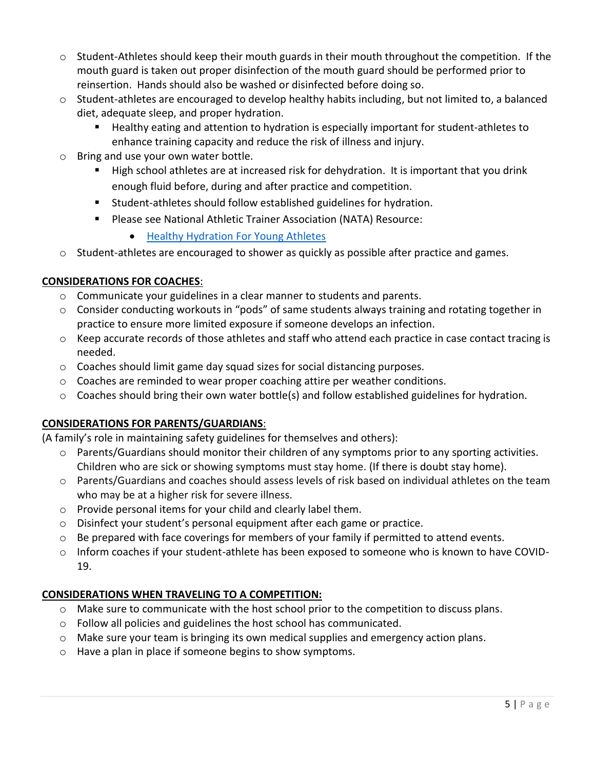- $\circ$  Student-Athletes should keep their mouth guards in their mouth throughout the competition. If the mouth guard is taken out proper disinfection of the mouth guard should be performed prior to reinsertion. Hands should also be washed or disinfected before doing so.
- $\circ$  Student-athletes are encouraged to develop healthy habits including, but not limited to, a balanced diet, adequate sleep, and proper hydration.
	- Healthy eating and attention to hydration is especially important for student-athletes to enhance training capacity and reduce the risk of illness and injury.
- o Bring and use your own water bottle.
	- High school athletes are at increased risk for dehydration. It is important that you drink enough fluid before, during and after practice and competition.
	- Student-athletes should follow established guidelines for hydration.
	- **Please see National Athletic Trainer Association (NATA) Resource:** 
		- **[Healthy Hydration For Young Athletes](https://www.nata.org/sites/default/files/healthy-hydration-for-young-athletes.pdf)**
- o Student-athletes are encouraged to shower as quickly as possible after practice and games.

# **CONSIDERATIONS FOR COACHES**:

- o Communicate your guidelines in a clear manner to students and parents.
- o Consider conducting workouts in "pods" of same students always training and rotating together in practice to ensure more limited exposure if someone develops an infection.
- o Keep accurate records of those athletes and staff who attend each practice in case contact tracing is needed.
- $\circ$  Coaches should limit game day squad sizes for social distancing purposes.
- $\circ$  Coaches are reminded to wear proper coaching attire per weather conditions.
- o Coaches should bring their own water bottle(s) and follow established guidelines for hydration.

# **CONSIDERATIONS FOR PARENTS/GUARDIANS**:

(A family's role in maintaining safety guidelines for themselves and others):

- $\circ$  Parents/Guardians should monitor their children of any symptoms prior to any sporting activities. Children who are sick or showing symptoms must stay home. (If there is doubt stay home).
- o Parents/Guardians and coaches should assess levels of risk based on individual athletes on the team who may be at a higher risk for severe illness.
- o Provide personal items for your child and clearly label them.
- o Disinfect your student's personal equipment after each game or practice.
- $\circ$  Be prepared with face coverings for members of your family if permitted to attend events.
- o Inform coaches if your student-athlete has been exposed to someone who is known to have COVID-19.

# **CONSIDERATIONS WHEN TRAVELING TO A COMPETITION:**

- o Make sure to communicate with the host school prior to the competition to discuss plans.
- $\circ$  Follow all policies and guidelines the host school has communicated.
- o Make sure your team is bringing its own medical supplies and emergency action plans.
- o Have a plan in place if someone begins to show symptoms.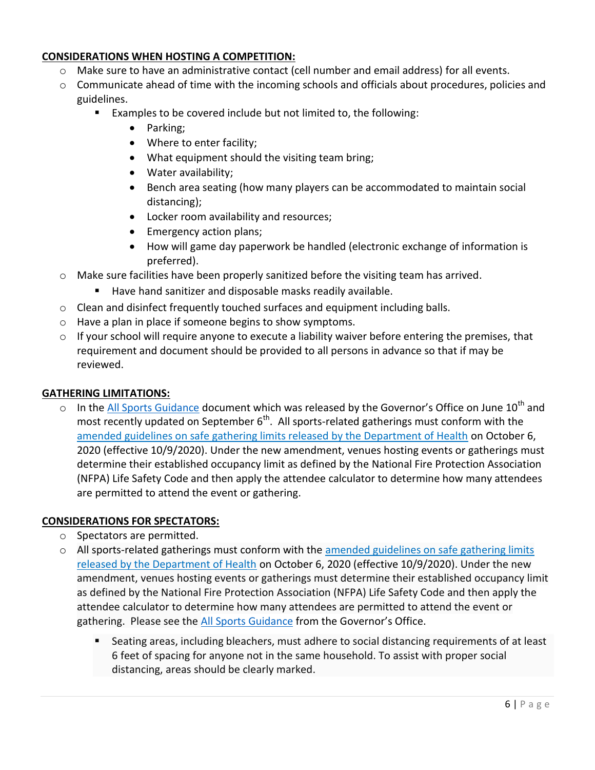# **CONSIDERATIONS WHEN HOSTING A COMPETITION:**

- o Make sure to have an administrative contact (cell number and email address) for all events.
- $\circ$  Communicate ahead of time with the incoming schools and officials about procedures, policies and guidelines.
	- Examples to be covered include but not limited to, the following:
		- Parking;
		- Where to enter facility;
		- What equipment should the visiting team bring;
		- Water availability;
		- Bench area seating (how many players can be accommodated to maintain social distancing);
		- Locker room availability and resources;
		- Emergency action plans;
		- How will game day paperwork be handled (electronic exchange of information is preferred).
- $\circ$  Make sure facilities have been properly sanitized before the visiting team has arrived.
	- Have hand sanitizer and disposable masks readily available.
- $\circ$  Clean and disinfect frequently touched surfaces and equipment including balls.
- o Have a plan in place if someone begins to show symptoms.
- $\circ$  If your school will require anyone to execute a liability waiver before entering the premises, that requirement and document should be provided to all persons in advance so that if may be reviewed.

# **GATHERING LIMITATIONS:**

 $\circ$  In the [All Sports Guidance](https://www.governor.pa.gov/covid-19/sports-guidance/) document which was released by the Governor's Office on June 10<sup>th</sup> and most recently updated on September  $6^{th}$ . All sports-related gatherings must conform with the [amended guidelines on safe gathering limits released by the Department of Health](https://www.governor.pa.gov/wp-content/uploads/2020/10/20201006-SOH-amendment-to-targeted-mitigation-order.pdf) on October 6, 2020 (effective 10/9/2020). Under the new amendment, venues hosting events or gatherings must determine their established occupancy limit as defined by the National Fire Protection Association (NFPA) Life Safety Code and then apply the attendee calculator to determine how many attendees are permitted to attend the event or gathering.

# **CONSIDERATIONS FOR SPECTATORS:**

- o Spectators are permitted.
- $\circ$  All sports-related gatherings must conform with the amended guidelines on safe gathering limits [released by the Department of Health](https://www.governor.pa.gov/wp-content/uploads/2020/10/20201006-SOH-amendment-to-targeted-mitigation-order.pdf) on October 6, 2020 (effective 10/9/2020). Under the new amendment, venues hosting events or gatherings must determine their established occupancy limit as defined by the National Fire Protection Association (NFPA) Life Safety Code and then apply the attendee calculator to determine how many attendees are permitted to attend the event or gathering. Please see the [All Sports Guidance](https://www.governor.pa.gov/covid-19/sports-guidance/) from the Governor's Office.
	- Seating areas, including bleachers, must adhere to social distancing requirements of at least 6 feet of spacing for anyone not in the same household. To assist with proper social distancing, areas should be clearly marked.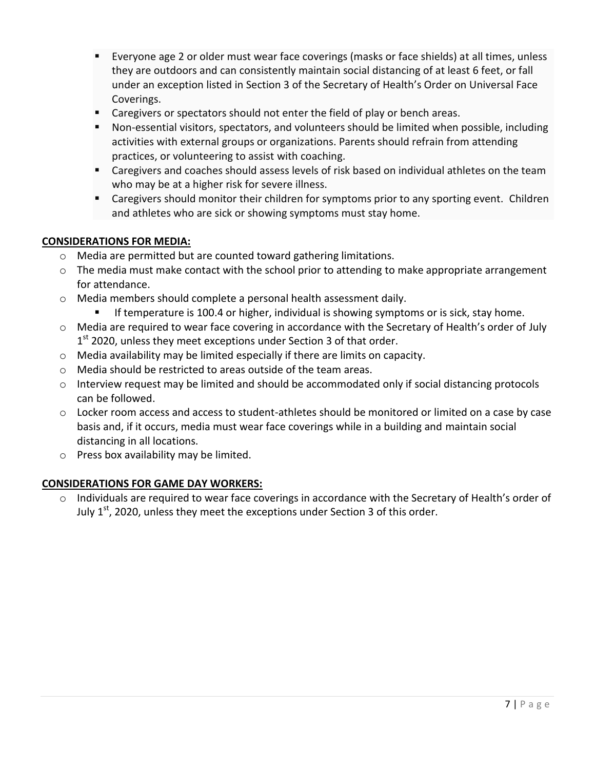- Everyone age 2 or older must wear face coverings (masks or face shields) at all times, unless they are outdoors and can consistently maintain social distancing of at least 6 feet, or fall under an exception listed in Section 3 of the Secretary of Health's Order on Universal Face Coverings.
- **EXP** Caregivers or spectators should not enter the field of play or bench areas.
- Non-essential visitors, spectators, and volunteers should be limited when possible, including activities with external groups or organizations. Parents should refrain from attending practices, or volunteering to assist with coaching.
- Caregivers and coaches should assess levels of risk based on individual athletes on the team who may be at a higher risk for severe illness.
- **EXP** Caregivers should monitor their children for symptoms prior to any sporting event. Children and athletes who are sick or showing symptoms must stay home.

## **CONSIDERATIONS FOR MEDIA:**

- o Media are permitted but are counted toward gathering limitations.
- $\circ$  The media must make contact with the school prior to attending to make appropriate arrangement for attendance.
- o Media members should complete a personal health assessment daily.
	- **If temperature is 100.4 or higher, individual is showing symptoms or is sick, stay home.**
- o Media are required to wear face covering in accordance with the Secretary of Health's order of July 1<sup>st</sup> 2020, unless they meet exceptions under Section 3 of that order.
- $\circ$  Media availability may be limited especially if there are limits on capacity.
- o Media should be restricted to areas outside of the team areas.
- o Interview request may be limited and should be accommodated only if social distancing protocols can be followed.
- $\circ$  Locker room access and access to student-athletes should be monitored or limited on a case by case basis and, if it occurs, media must wear face coverings while in a building and maintain social distancing in all locations.
- o Press box availability may be limited.

# **CONSIDERATIONS FOR GAME DAY WORKERS:**

o Individuals are required to wear face coverings in accordance with the Secretary of Health's order of July  $1<sup>st</sup>$ , 2020, unless they meet the exceptions under Section 3 of this order.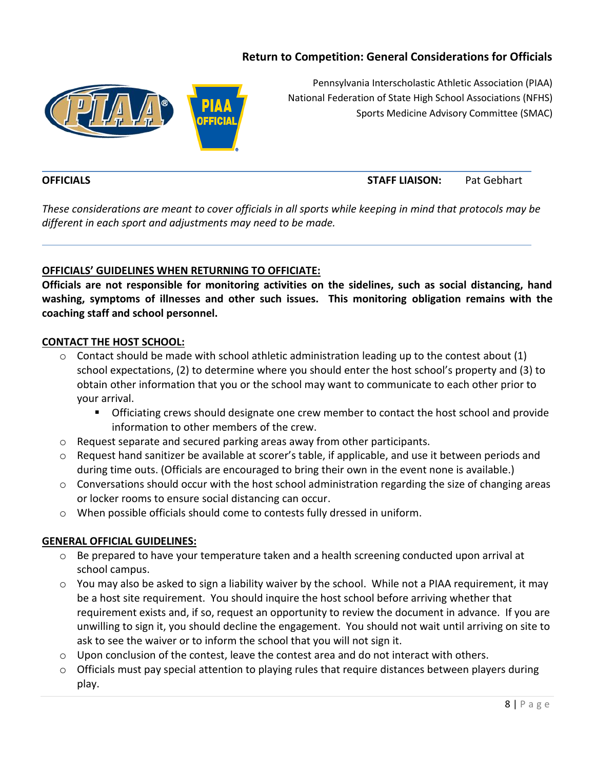# **Return to Competition: General Considerations for Officials**



Pennsylvania Interscholastic Athletic Association (PIAA) National Federation of State High School Associations (NFHS) Sports Medicine Advisory Committee (SMAC)

# **OFFICIALS STAFF LIAISON:** Pat Gebhart

*These considerations are meant to cover officials in all sports while keeping in mind that protocols may be different in each sport and adjustments may need to be made.*

#### **OFFICIALS' GUIDELINES WHEN RETURNING TO OFFICIATE:**

**Officials are not responsible for monitoring activities on the sidelines, such as social distancing, hand washing, symptoms of illnesses and other such issues. This monitoring obligation remains with the coaching staff and school personnel.**

#### **CONTACT THE HOST SCHOOL:**

- $\circ$  Contact should be made with school athletic administration leading up to the contest about (1) school expectations, (2) to determine where you should enter the host school's property and (3) to obtain other information that you or the school may want to communicate to each other prior to your arrival.
	- Officiating crews should designate one crew member to contact the host school and provide information to other members of the crew.
- $\circ$  Request separate and secured parking areas away from other participants.
- o Request hand sanitizer be available at scorer's table, if applicable, and use it between periods and during time outs. (Officials are encouraged to bring their own in the event none is available.)
- $\circ$  Conversations should occur with the host school administration regarding the size of changing areas or locker rooms to ensure social distancing can occur.
- o When possible officials should come to contests fully dressed in uniform.

#### **GENERAL OFFICIAL GUIDELINES:**

- o Be prepared to have your temperature taken and a health screening conducted upon arrival at school campus.
- $\circ$  You may also be asked to sign a liability waiver by the school. While not a PIAA requirement, it may be a host site requirement. You should inquire the host school before arriving whether that requirement exists and, if so, request an opportunity to review the document in advance. If you are unwilling to sign it, you should decline the engagement. You should not wait until arriving on site to ask to see the waiver or to inform the school that you will not sign it.
- $\circ$  Upon conclusion of the contest, leave the contest area and do not interact with others.
- $\circ$  Officials must pay special attention to playing rules that require distances between players during play.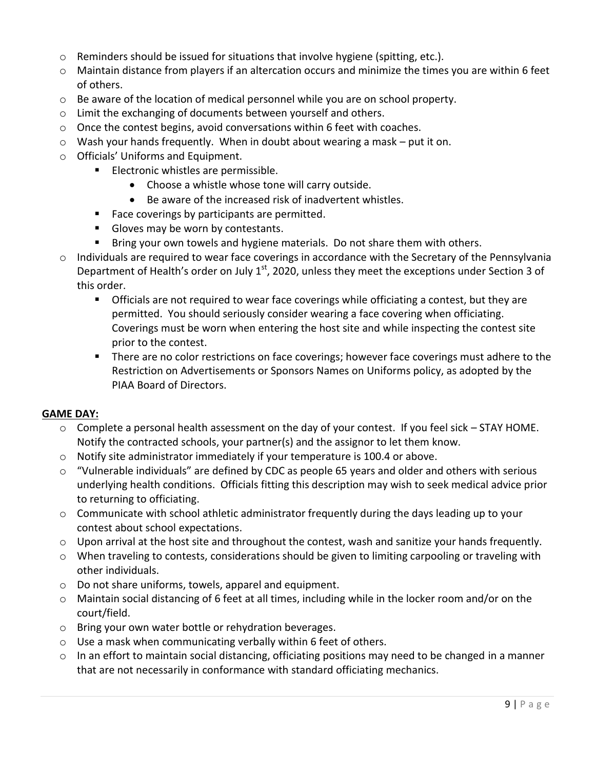- $\circ$  Reminders should be issued for situations that involve hygiene (spitting, etc.).
- o Maintain distance from players if an altercation occurs and minimize the times you are within 6 feet of others.
- $\circ$  Be aware of the location of medical personnel while you are on school property.
- o Limit the exchanging of documents between yourself and others.
- o Once the contest begins, avoid conversations within 6 feet with coaches.
- $\circ$  Wash your hands frequently. When in doubt about wearing a mask put it on.
- o Officials' Uniforms and Equipment.
	- **Electronic whistles are permissible.** 
		- Choose a whistle whose tone will carry outside.
		- Be aware of the increased risk of inadvertent whistles.
	- Face coverings by participants are permitted.
	- Gloves may be worn by contestants.
	- Bring your own towels and hygiene materials. Do not share them with others.
- $\circ$  Individuals are required to wear face coverings in accordance with the Secretary of the Pennsylvania Department of Health's order on July  $1<sup>st</sup>$ , 2020, unless they meet the exceptions under Section 3 of this order.
	- **The Officials are not required to wear face coverings while officiating a contest, but they are** permitted. You should seriously consider wearing a face covering when officiating. Coverings must be worn when entering the host site and while inspecting the contest site prior to the contest.
	- **There are no color restrictions on face coverings; however face coverings must adhere to the** Restriction on Advertisements or Sponsors Names on Uniforms policy, as adopted by the PIAA Board of Directors.

#### **GAME DAY:**

- $\circ$  Complete a personal health assessment on the day of your contest. If you feel sick STAY HOME. Notify the contracted schools, your partner(s) and the assignor to let them know.
- $\circ$  Notify site administrator immediately if your temperature is 100.4 or above.
- $\circ$  "Vulnerable individuals" are defined by CDC as people 65 years and older and others with serious underlying health conditions. Officials fitting this description may wish to seek medical advice prior to returning to officiating.
- $\circ$  Communicate with school athletic administrator frequently during the days leading up to your contest about school expectations.
- $\circ$  Upon arrival at the host site and throughout the contest, wash and sanitize your hands frequently.
- o When traveling to contests, considerations should be given to limiting carpooling or traveling with other individuals.
- o Do not share uniforms, towels, apparel and equipment.
- o Maintain social distancing of 6 feet at all times, including while in the locker room and/or on the court/field.
- o Bring your own water bottle or rehydration beverages.
- o Use a mask when communicating verbally within 6 feet of others.
- $\circ$  In an effort to maintain social distancing, officiating positions may need to be changed in a manner that are not necessarily in conformance with standard officiating mechanics.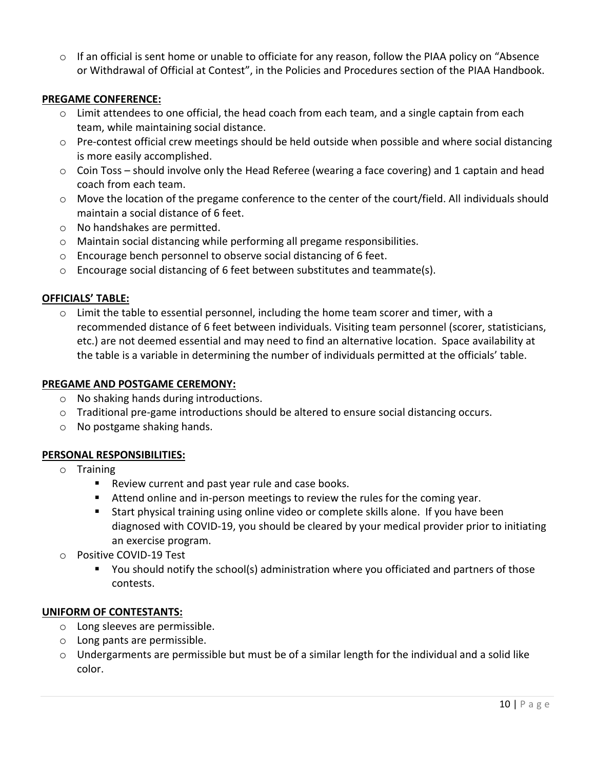$\circ$  If an official is sent home or unable to officiate for any reason, follow the PIAA policy on "Absence" or Withdrawal of Official at Contest", in the Policies and Procedures section of the PIAA Handbook.

## **PREGAME CONFERENCE:**

- $\circ$  Limit attendees to one official, the head coach from each team, and a single captain from each team, while maintaining social distance.
- o Pre-contest official crew meetings should be held outside when possible and where social distancing is more easily accomplished.
- o Coin Toss should involve only the Head Referee (wearing a face covering) and 1 captain and head coach from each team.
- $\circ$  Move the location of the pregame conference to the center of the court/field. All individuals should maintain a social distance of 6 feet.
- o No handshakes are permitted.
- o Maintain social distancing while performing all pregame responsibilities.
- o Encourage bench personnel to observe social distancing of 6 feet.
- $\circ$  Encourage social distancing of 6 feet between substitutes and teammate(s).

#### **OFFICIALS' TABLE:**

 $\circ$  Limit the table to essential personnel, including the home team scorer and timer, with a recommended distance of 6 feet between individuals. Visiting team personnel (scorer, statisticians, etc.) are not deemed essential and may need to find an alternative location. Space availability at the table is a variable in determining the number of individuals permitted at the officials' table.

#### **PREGAME AND POSTGAME CEREMONY:**

- o No shaking hands during introductions.
- $\circ$  Traditional pre-game introductions should be altered to ensure social distancing occurs.
- o No postgame shaking hands.

#### **PERSONAL RESPONSIBILITIES:**

- o Training
	- Review current and past year rule and case books.
	- Attend online and in-person meetings to review the rules for the coming year.
	- Start physical training using online video or complete skills alone. If you have been diagnosed with COVID-19, you should be cleared by your medical provider prior to initiating an exercise program.
- o Positive COVID-19 Test
	- You should notify the school(s) administration where you officiated and partners of those contests.

#### **UNIFORM OF CONTESTANTS:**

- o Long sleeves are permissible.
- o Long pants are permissible.
- $\circ$  Undergarments are permissible but must be of a similar length for the individual and a solid like color.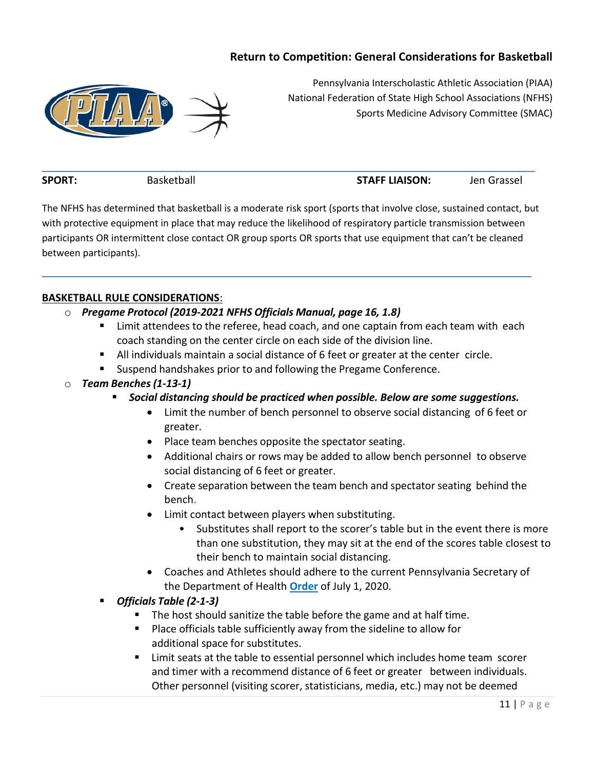# **Return to Competition: General Considerations for Basketball**



Pennsylvania Interscholastic Athletic Association (PIAA) National Federation of State High School Associations (NFHS) Sports Medicine Advisory Committee (SMAC)

**SPORT:** Basketball **STAFF LIAISON:** Jen Grassel

The NFHS has determined that basketball is a moderate risk sport (sports that involve close, sustained contact, but with protective equipment in place that may reduce the likelihood of respiratory particle transmission between participants OR intermittent close contact OR group sports OR sports that use equipment that can't be cleaned between participants).

## **BASKETBALL RULE CONSIDERATIONS**:

- o *Pregame Protocol (2019-2021 NFHS Officials Manual, page 16, 1.8)*
	- Limit attendees to the referee, head coach, and one captain from each team with each coach standing on the center circle on each side of the division line.
	- All individuals maintain a social distance of 6 feet or greater at the center circle.
	- **Suspend handshakes prior to and following the Pregame Conference.**
- o *Team Benches (1-13-1)*
	- *Social distancing should be practiced when possible. Below are some suggestions.*
		- Limit the number of bench personnel to observe social distancing of 6 feet or greater.
		- Place team benches opposite the spectator seating.
		- Additional chairs or rows may be added to allow bench personnel to observe social distancing of 6 feet or greater.
		- Create separation between the team bench and spectator seating behind the bench.
		- Limit contact between players when substituting.
			- Substitutes shall report to the scorer's table but in the event there is more than one substitution, they may sit at the end of the scores table closest to their bench to maintain social distancing.
		- Coaches and Athletes should adhere to the current Pennsylvania Secretary of the Department of Health **[Order](https://www.governor.pa.gov/wp-content/uploads/2020/07/20200701-SOH-Universal-Face-Coverings-Order.pdf)** of July 1, 2020.
	- *Officials Table (2-1-3)*
		- The host should sanitize the table before the game and at half time.
		- Place officials table sufficiently away from the sideline to allow for additional space for substitutes.
		- **EXT** Limit seats at the table to essential personnel which includes home team scorer and timer with a recommend distance of 6 feet or greater between individuals. Other personnel (visiting scorer, statisticians, media, etc.) may not be deemed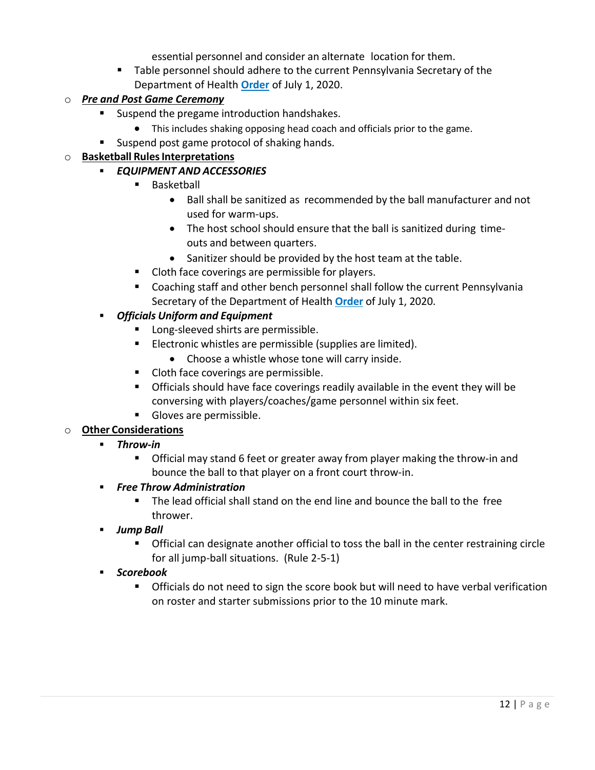essential personnel and consider an alternate location for them.

 Table personnel should adhere to the current Pennsylvania Secretary of the Department of Health **[Order](https://www.governor.pa.gov/wp-content/uploads/2020/07/20200701-SOH-Universal-Face-Coverings-Order.pdf)** of July 1, 2020.

# o *Pre and Post Game Ceremony*

- **Suspend the pregame introduction handshakes.** 
	- This includes shaking opposing head coach and officials prior to the game.
- Suspend post game protocol of shaking hands.

# o **Basketball RulesInterpretations**

- *EQUIPMENT AND ACCESSORIES*
	- Basketball
		- Ball shall be sanitized as recommended by the ball manufacturer and not used for warm-ups.
		- The host school should ensure that the ball is sanitized during timeouts and between quarters.
		- Sanitizer should be provided by the host team at the table.
	- **Cloth face coverings are permissible for players.**
	- Coaching staff and other bench personnel shall follow the current Pennsylvania Secretary of the Department of Health **[Order](https://www.governor.pa.gov/wp-content/uploads/2020/07/20200701-SOH-Universal-Face-Coverings-Order.pdf)** of July 1, 2020.
- *Officials Uniform and Equipment*
	- **Long-sleeved shirts are permissible.**
	- **Electronic whistles are permissible (supplies are limited).** 
		- Choose a whistle whose tone will carry inside.
	- **Cloth face coverings are permissible.**
	- Officials should have face coverings readily available in the event they will be conversing with players/coaches/game personnel within six feet.
	- Gloves are permissible.

# o **Other Considerations**

- *Throw-in*
	- Official may stand 6 feet or greater away from player making the throw-in and bounce the ball to that player on a front court throw-in.
- *Free Throw Administration*
	- The lead official shall stand on the end line and bounce the ball to the free thrower.
- *Jump Ball*
	- Official can designate another official to toss the ball in the center restraining circle for all jump-ball situations. (Rule 2-5-1)
- *Scorebook*
	- Officials do not need to sign the score book but will need to have verbal verification on roster and starter submissions prior to the 10 minute mark.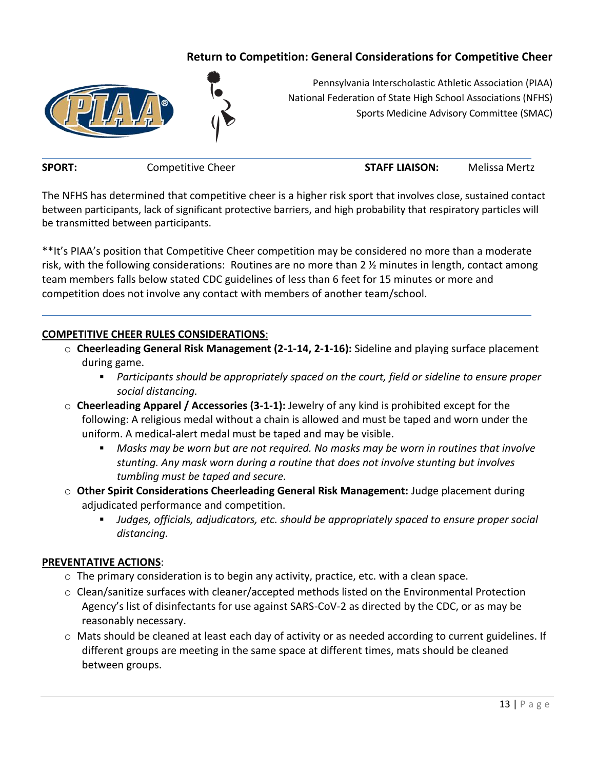# **Return to Competition: General Considerations for Competitive Cheer**



Pennsylvania Interscholastic Athletic Association (PIAA) National Federation of State High School Associations (NFHS) Sports Medicine Advisory Committee (SMAC)

**SPORT:** Competitive Cheer **STAFF LIAISON:** Melissa Mertz

The NFHS has determined that competitive cheer is a higher risk sport that involves close, sustained contact between participants, lack of significant protective barriers, and high probability that respiratory particles will be transmitted between participants.

\*\*It's PIAA's position that Competitive Cheer competition may be considered no more than a moderate risk, with the following considerations: Routines are no more than 2 ½ minutes in length, contact among team members falls below stated CDC guidelines of less than 6 feet for 15 minutes or more and competition does not involve any contact with members of another team/school.

## **COMPETITIVE CHEER RULES CONSIDERATIONS**:

- o **Cheerleading General Risk Management (2-1-14, 2-1-16):** Sideline and playing surface placement during game.
	- *Participants should be appropriately spaced on the court, field or sideline to ensure proper social distancing.*
- o **Cheerleading Apparel / Accessories (3-1-1):** Jewelry of any kind is prohibited except for the following: A religious medal without a chain is allowed and must be taped and worn under the uniform. A medical-alert medal must be taped and may be visible.
	- *Masks may be worn but are not required. No masks may be worn in routines that involve stunting. Any mask worn during a routine that does not involve stunting but involves tumbling must be taped and secure.*
- o **Other Spirit Considerations Cheerleading General Risk Management:** Judge placement during adjudicated performance and competition.
	- *Judges, officials, adjudicators, etc. should be appropriately spaced to ensure proper social distancing.*

#### **PREVENTATIVE ACTIONS**:

- $\circ$  The primary consideration is to begin any activity, practice, etc. with a clean space.
- o Clean/sanitize surfaces with cleaner/accepted methods listed on the Environmental Protection Agency's list of disinfectants for use against SARS-CoV-2 as directed by the CDC, or as may be reasonably necessary.
- o Mats should be cleaned at least each day of activity or as needed according to current guidelines. If different groups are meeting in the same space at different times, mats should be cleaned between groups.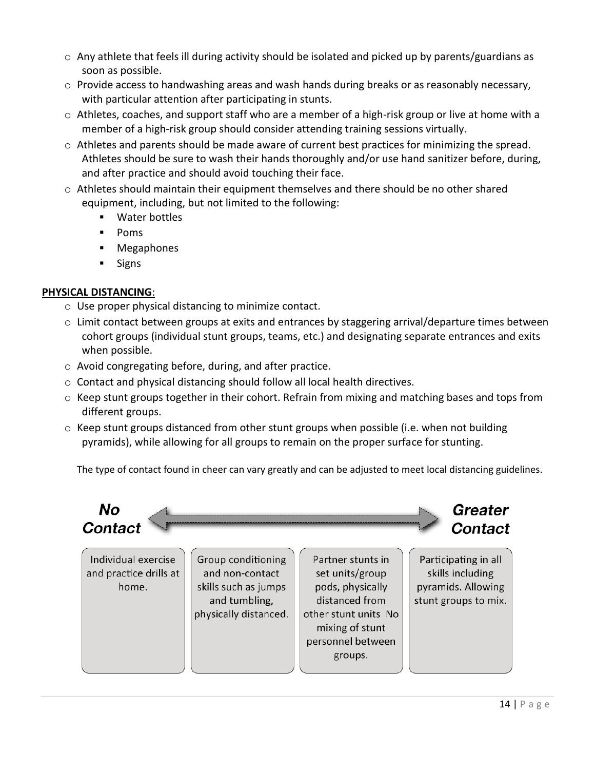- $\circ$  Any athlete that feels ill during activity should be isolated and picked up by parents/guardians as soon as possible.
- $\circ$  Provide access to handwashing areas and wash hands during breaks or as reasonably necessary, with particular attention after participating in stunts.
- $\circ$  Athletes, coaches, and support staff who are a member of a high-risk group or live at home with a member of a high-risk group should consider attending training sessions virtually.
- o Athletes and parents should be made aware of current best practices for minimizing the spread. Athletes should be sure to wash their hands thoroughly and/or use hand sanitizer before, during, and after practice and should avoid touching their face.
- $\circ$  Athletes should maintain their equipment themselves and there should be no other shared equipment, including, but not limited to the following:
	- Water bottles
	- Poms
	- Megaphones
	- Signs

# **PHYSICAL DISTANCING**:

- o Use proper physical distancing to minimize contact.
- $\circ$  Limit contact between groups at exits and entrances by staggering arrival/departure times between cohort groups (individual stunt groups, teams, etc.) and designating separate entrances and exits when possible.
- o Avoid congregating before, during, and after practice.
- $\circ$  Contact and physical distancing should follow all local health directives.
- $\circ$  Keep stunt groups together in their cohort. Refrain from mixing and matching bases and tops from different groups.
- o Keep stunt groups distanced from other stunt groups when possible (i.e. when not building pyramids), while allowing for all groups to remain on the proper surface for stunting.

The type of contact found in cheer can vary greatly and can be adjusted to meet local distancing guidelines.

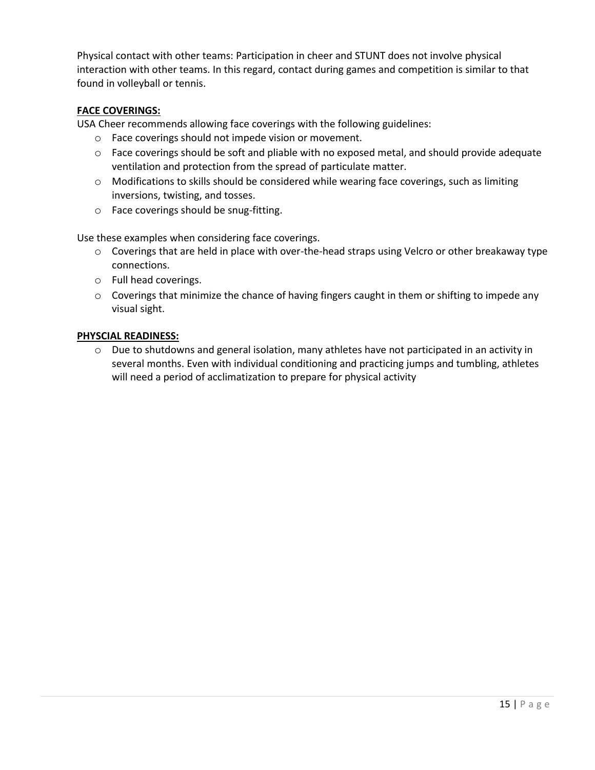Physical contact with other teams: Participation in cheer and STUNT does not involve physical interaction with other teams. In this regard, contact during games and competition is similar to that found in volleyball or tennis.

#### **FACE COVERINGS:**

USA Cheer recommends allowing face coverings with the following guidelines:

- o Face coverings should not impede vision or movement.
- o Face coverings should be soft and pliable with no exposed metal, and should provide adequate ventilation and protection from the spread of particulate matter.
- o Modifications to skills should be considered while wearing face coverings, such as limiting inversions, twisting, and tosses.
- o Face coverings should be snug-fitting.

Use these examples when considering face coverings.

- o Coverings that are held in place with over-the-head straps using Velcro or other breakaway type connections.
- o Full head coverings.
- o Coverings that minimize the chance of having fingers caught in them or shifting to impede any visual sight.

#### **PHYSCIAL READINESS:**

o Due to shutdowns and general isolation, many athletes have not participated in an activity in several months. Even with individual conditioning and practicing jumps and tumbling, athletes will need a period of acclimatization to prepare for physical activity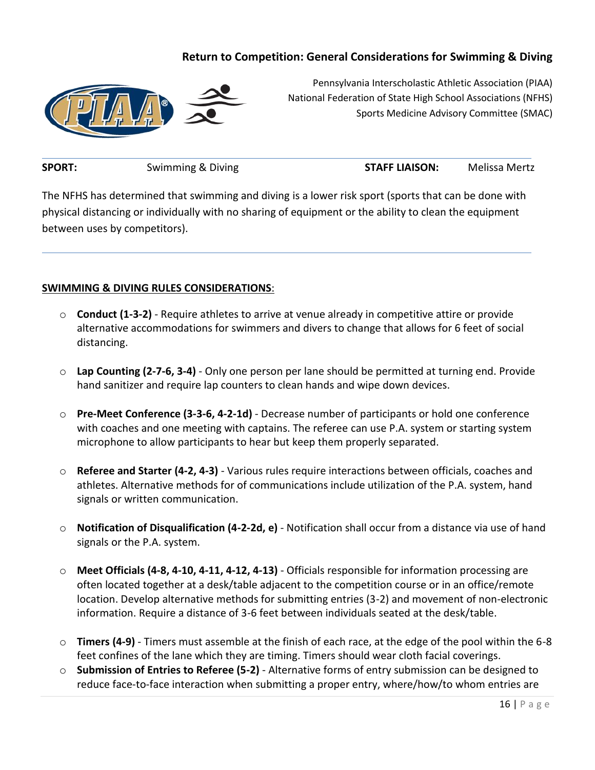# **Return to Competition: General Considerations for Swimming & Diving**



Pennsylvania Interscholastic Athletic Association (PIAA) National Federation of State High School Associations (NFHS) Sports Medicine Advisory Committee (SMAC)

**SPORT:** Swimming & Diving **STAFF LIAISON:** Melissa Mertz

The NFHS has determined that swimming and diving is a lower risk sport (sports that can be done with physical distancing or individually with no sharing of equipment or the ability to clean the equipment between uses by competitors).

## **SWIMMING & DIVING RULES CONSIDERATIONS**:

- o **Conduct (1-3-2)**  Require athletes to arrive at venue already in competitive attire or provide alternative accommodations for swimmers and divers to change that allows for 6 feet of social distancing.
- o **Lap Counting (2-7-6, 3-4)**  Only one person per lane should be permitted at turning end. Provide hand sanitizer and require lap counters to clean hands and wipe down devices.
- o **Pre-Meet Conference (3-3-6, 4-2-1d)**  Decrease number of participants or hold one conference with coaches and one meeting with captains. The referee can use P.A. system or starting system microphone to allow participants to hear but keep them properly separated.
- o **Referee and Starter (4-2, 4-3)**  Various rules require interactions between officials, coaches and athletes. Alternative methods for of communications include utilization of the P.A. system, hand signals or written communication.
- o **Notification of Disqualification (4-2-2d, e)**  Notification shall occur from a distance via use of hand signals or the P.A. system.
- o **Meet Officials (4-8, 4-10, 4-11, 4-12, 4-13)**  Officials responsible for information processing are often located together at a desk/table adjacent to the competition course or in an office/remote location. Develop alternative methods for submitting entries (3-2) and movement of non-electronic information. Require a distance of 3-6 feet between individuals seated at the desk/table.
- o **Timers (4-9)**  Timers must assemble at the finish of each race, at the edge of the pool within the 6-8 feet confines of the lane which they are timing. Timers should wear cloth facial coverings.
- o **Submission of Entries to Referee (5-2)**  Alternative forms of entry submission can be designed to reduce face-to-face interaction when submitting a proper entry, where/how/to whom entries are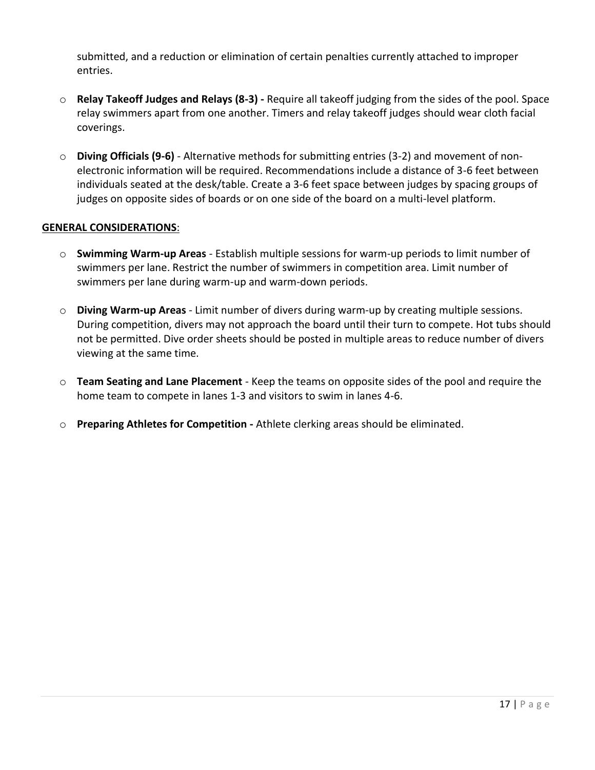submitted, and a reduction or elimination of certain penalties currently attached to improper entries.

- o **Relay Takeoff Judges and Relays (8-3) -** Require all takeoff judging from the sides of the pool. Space relay swimmers apart from one another. Timers and relay takeoff judges should wear cloth facial coverings.
- o **Diving Officials (9-6)**  Alternative methods for submitting entries (3-2) and movement of nonelectronic information will be required. Recommendations include a distance of 3-6 feet between individuals seated at the desk/table. Create a 3-6 feet space between judges by spacing groups of judges on opposite sides of boards or on one side of the board on a multi-level platform.

## **GENERAL CONSIDERATIONS**:

- o **Swimming Warm-up Areas**  Establish multiple sessions for warm-up periods to limit number of swimmers per lane. Restrict the number of swimmers in competition area. Limit number of swimmers per lane during warm-up and warm-down periods.
- o **Diving Warm-up Areas**  Limit number of divers during warm-up by creating multiple sessions. During competition, divers may not approach the board until their turn to compete. Hot tubs should not be permitted. Dive order sheets should be posted in multiple areas to reduce number of divers viewing at the same time.
- o **Team Seating and Lane Placement**  Keep the teams on opposite sides of the pool and require the home team to compete in lanes 1-3 and visitors to swim in lanes 4-6.
- o **Preparing Athletes for Competition -** Athlete clerking areas should be eliminated.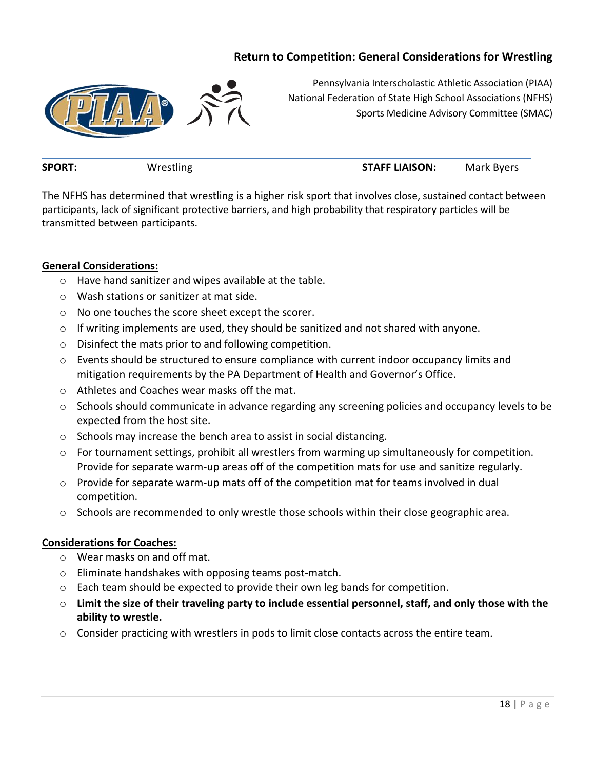# **Return to Competition: General Considerations for Wrestling**



Pennsylvania Interscholastic Athletic Association (PIAA) National Federation of State High School Associations (NFHS) Sports Medicine Advisory Committee (SMAC)

**SPORT:** Wrestling **STAFF LIAISON:** Mark Byers

The NFHS has determined that wrestling is a higher risk sport that involves close, sustained contact between participants, lack of significant protective barriers, and high probability that respiratory particles will be transmitted between participants.

#### **General Considerations:**

- o Have hand sanitizer and wipes available at the table.
- o Wash stations or sanitizer at mat side.
- o No one touches the score sheet except the scorer.
- $\circ$  If writing implements are used, they should be sanitized and not shared with anyone.
- o Disinfect the mats prior to and following competition.
- o Events should be structured to ensure compliance with current indoor occupancy limits and mitigation requirements by the PA Department of Health and Governor's Office.
- o Athletes and Coaches wear masks off the mat.
- o Schools should communicate in advance regarding any screening policies and occupancy levels to be expected from the host site.
- o Schools may increase the bench area to assist in social distancing.
- $\circ$  For tournament settings, prohibit all wrestlers from warming up simultaneously for competition. Provide for separate warm-up areas off of the competition mats for use and sanitize regularly.
- $\circ$  Provide for separate warm-up mats off of the competition mat for teams involved in dual competition.
- $\circ$  Schools are recommended to only wrestle those schools within their close geographic area.

#### **Considerations for Coaches:**

- o Wear masks on and off mat.
- o Eliminate handshakes with opposing teams post-match.
- o Each team should be expected to provide their own leg bands for competition.
- o **Limit the size of their traveling party to include essential personnel, staff, and only those with the ability to wrestle.**
- $\circ$  Consider practicing with wrestlers in pods to limit close contacts across the entire team.